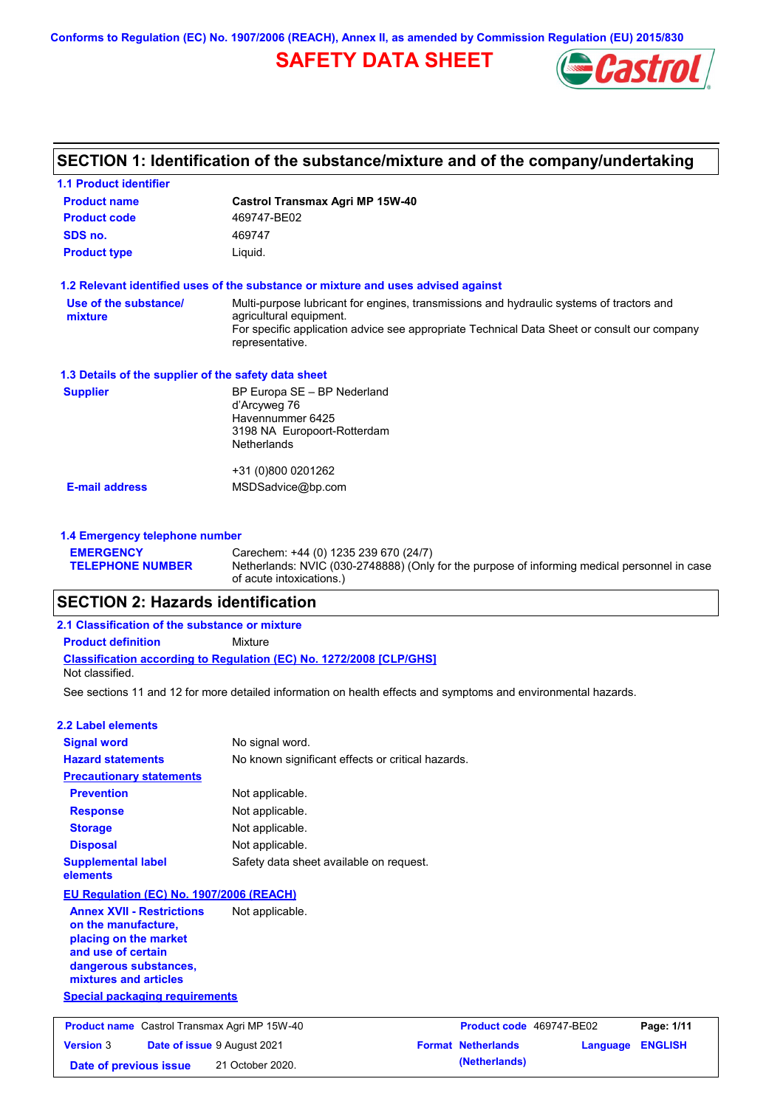**Conforms to Regulation (EC) No. 1907/2006 (REACH), Annex II, as amended by Commission Regulation (EU) 2015/830**

# **SAFETY DATA SHEET**



## **SECTION 1: Identification of the substance/mixture and of the company/undertaking**

| <b>1.1 Product identifier</b>                        |                                                                                                                          |
|------------------------------------------------------|--------------------------------------------------------------------------------------------------------------------------|
| <b>Product name</b>                                  | <b>Castrol Transmax Agri MP 15W-40</b>                                                                                   |
| <b>Product code</b>                                  | 469747-BE02                                                                                                              |
| SDS no.                                              | 469747                                                                                                                   |
| <b>Product type</b>                                  | Liquid.                                                                                                                  |
|                                                      | 1.2 Relevant identified uses of the substance or mixture and uses advised against                                        |
| Use of the substance/<br>mixture                     | Multi-purpose lubricant for engines, transmissions and hydraulic systems of tractors and<br>agricultural equipment.      |
|                                                      | For specific application advice see appropriate Technical Data Sheet or consult our company<br>representative.           |
| 1.3 Details of the supplier of the safety data sheet |                                                                                                                          |
| <b>Supplier</b>                                      | BP Europa SE - BP Nederland<br>d'Arcyweg 76                                                                              |
|                                                      | Havennummer 6425                                                                                                         |
|                                                      | 3198 NA Europoort-Rotterdam                                                                                              |
|                                                      | <b>Netherlands</b>                                                                                                       |
|                                                      | +31 (0)800 0201262                                                                                                       |
| <b>E-mail address</b>                                | MSDSadvice@bp.com                                                                                                        |
| 1.4 Emergency telephone number                       |                                                                                                                          |
| <b>EMERGENCY</b>                                     | Carechem: +44 (0) 1235 239 670 (24/7)                                                                                    |
| <b>TELEPHONE NUMBER</b>                              | Netherlands: NVIC (030-2748888) (Only for the purpose of informing medical personnel in case<br>of acute intoxications.) |

### **SECTION 2: Hazards identification**

| 2.1 Classification of the substance or mixture |                                                                            |  |  |  |
|------------------------------------------------|----------------------------------------------------------------------------|--|--|--|
| <b>Product definition</b>                      | Mixture                                                                    |  |  |  |
| Not classified.                                | <b>Classification according to Regulation (EC) No. 1272/2008 [CLP/GHS]</b> |  |  |  |

See sections 11 and 12 for more detailed information on health effects and symptoms and environmental hazards.

| 2.2 Label elements                       |                                                   |
|------------------------------------------|---------------------------------------------------|
| <b>Signal word</b>                       | No signal word.                                   |
| <b>Hazard statements</b>                 | No known significant effects or critical hazards. |
| <b>Precautionary statements</b>          |                                                   |
| <b>Prevention</b>                        | Not applicable.                                   |
| <b>Response</b>                          | Not applicable.                                   |
| <b>Storage</b>                           | Not applicable.                                   |
| <b>Disposal</b>                          | Not applicable.                                   |
| <b>Supplemental label</b><br>elements    | Safety data sheet available on request.           |
| EU Regulation (EC) No. 1907/2006 (REACH) |                                                   |
| <b>Annex XVII - Restrictions</b>         | Not applicable.                                   |

**Annex XVII - Restrictions on the manufacture, placing on the market and use of certain dangerous substances, mixtures and articles**

**Special packaging requirements**

| <b>Product name</b> Castrol Transmax Agri MP 15W-40 |  | Product code 469747-BE02           |                           | Page: 1/11              |  |
|-----------------------------------------------------|--|------------------------------------|---------------------------|-------------------------|--|
| <b>Version 3</b>                                    |  | <b>Date of issue 9 August 2021</b> | <b>Format Netherlands</b> | <b>Language ENGLISH</b> |  |
| Date of previous issue                              |  | 21 October 2020.                   | (Netherlands)             |                         |  |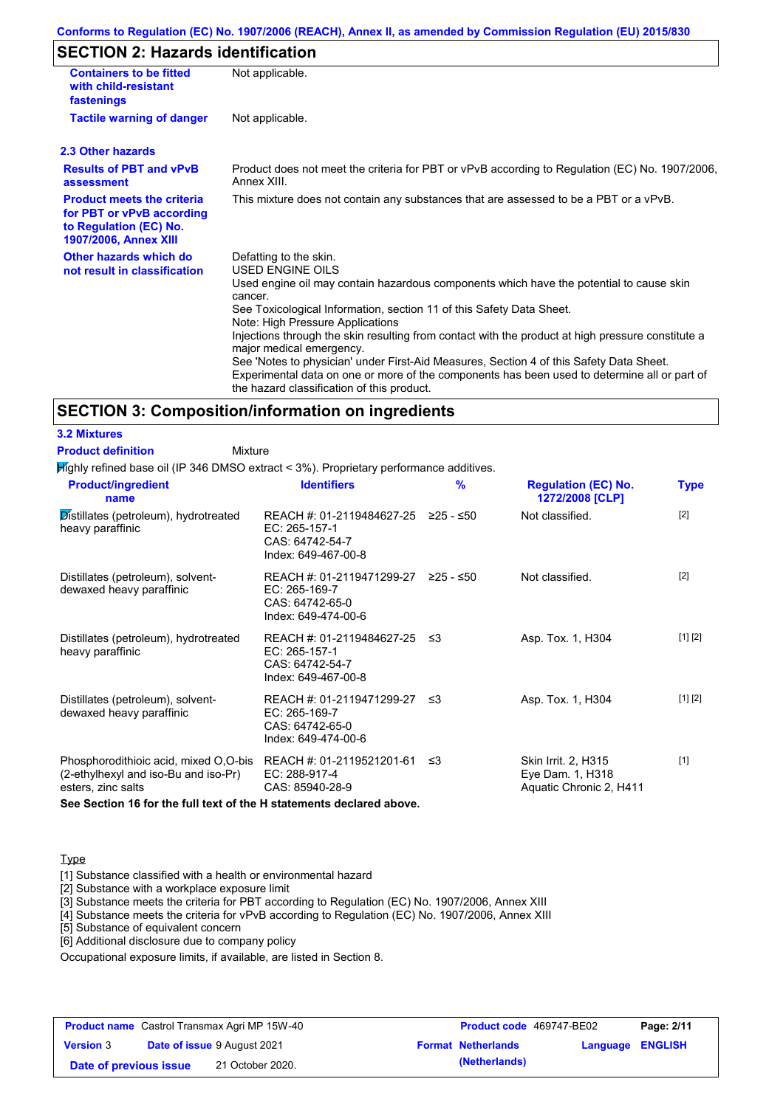### **Conforms to Regulation (EC) No. 1907/2006 (REACH), Annex II, as amended by Commission Regulation (EU) 2015/830**

## **SECTION 2: Hazards identification**

| <b>Containers to be fitted</b><br>with child-resistant<br>fastenings                                                     | Not applicable.                                                                                                                                                                                                                                                                                                                                                                                                                                                                                                                                                                                                                        |
|--------------------------------------------------------------------------------------------------------------------------|----------------------------------------------------------------------------------------------------------------------------------------------------------------------------------------------------------------------------------------------------------------------------------------------------------------------------------------------------------------------------------------------------------------------------------------------------------------------------------------------------------------------------------------------------------------------------------------------------------------------------------------|
| <b>Tactile warning of danger</b>                                                                                         | Not applicable.                                                                                                                                                                                                                                                                                                                                                                                                                                                                                                                                                                                                                        |
| 2.3 Other hazards                                                                                                        |                                                                                                                                                                                                                                                                                                                                                                                                                                                                                                                                                                                                                                        |
| <b>Results of PBT and vPvB</b><br>assessment                                                                             | Product does not meet the criteria for PBT or vPvB according to Regulation (EC) No. 1907/2006,<br>Annex XIII.                                                                                                                                                                                                                                                                                                                                                                                                                                                                                                                          |
| <b>Product meets the criteria</b><br>for PBT or vPvB according<br>to Regulation (EC) No.<br><b>1907/2006, Annex XIII</b> | This mixture does not contain any substances that are assessed to be a PBT or a vPvB.                                                                                                                                                                                                                                                                                                                                                                                                                                                                                                                                                  |
| Other hazards which do<br>not result in classification                                                                   | Defatting to the skin.<br>USED ENGINE OILS<br>Used engine oil may contain hazardous components which have the potential to cause skin<br>cancer.<br>See Toxicological Information, section 11 of this Safety Data Sheet.<br>Note: High Pressure Applications<br>Injections through the skin resulting from contact with the product at high pressure constitute a<br>major medical emergency.<br>See 'Notes to physician' under First-Aid Measures, Section 4 of this Safety Data Sheet.<br>Experimental data on one or more of the components has been used to determine all or part of<br>the hazard classification of this product. |

#### **SECTION 3: Composition/information on ingredients**

| <b>3.2 Mixtures</b>                                                                                                                                                         |                                                                                                |             |                                                                    |             |
|-----------------------------------------------------------------------------------------------------------------------------------------------------------------------------|------------------------------------------------------------------------------------------------|-------------|--------------------------------------------------------------------|-------------|
| <b>Product definition</b><br>Mixture                                                                                                                                        |                                                                                                |             |                                                                    |             |
| Mighly refined base oil (IP 346 DMSO extract < 3%). Proprietary performance additives.                                                                                      |                                                                                                |             |                                                                    |             |
| <b>Product/ingredient</b><br>name                                                                                                                                           | <b>Identifiers</b>                                                                             | $\%$        | <b>Regulation (EC) No.</b><br>1272/2008 [CLP]                      | <b>Type</b> |
| Distillates (petroleum), hydrotreated<br>heavy paraffinic                                                                                                                   | REACH #: 01-2119484627-25 ≥25 - ≤50<br>EC: 265-157-1<br>CAS: 64742-54-7<br>Index: 649-467-00-8 |             | Not classified.                                                    | $[2]$       |
| Distillates (petroleum), solvent-<br>dewaxed heavy paraffinic                                                                                                               | REACH #: 01-2119471299-27<br>EC: 265-169-7<br>CAS: 64742-65-0<br>Index: 649-474-00-6           | $≥25 - ≤50$ | Not classified.                                                    | $[2]$       |
| Distillates (petroleum), hydrotreated<br>heavy paraffinic                                                                                                                   | REACH #: 01-2119484627-25 ≤3<br>EC: 265-157-1<br>CAS: 64742-54-7<br>Index: 649-467-00-8        |             | Asp. Tox. 1, H304                                                  | [1] [2]     |
| Distillates (petroleum), solvent-<br>dewaxed heavy paraffinic                                                                                                               | REACH #: 01-2119471299-27 ≤3<br>EC: 265-169-7<br>CAS: 64742-65-0<br>Index: 649-474-00-6        |             | Asp. Tox. 1, H304                                                  | [1] [2]     |
| Phosphorodithioic acid, mixed O,O-bis<br>(2-ethylhexyl and iso-Bu and iso-Pr)<br>esters, zinc salts<br>See Section 16 for the full text of the H statements declared above. | REACH #: 01-2119521201-61 ≤3<br>EC: 288-917-4<br>CAS: 85940-28-9                               |             | Skin Irrit. 2, H315<br>Eye Dam. 1, H318<br>Aquatic Chronic 2, H411 | $[1]$       |
|                                                                                                                                                                             |                                                                                                |             |                                                                    |             |

#### **Type**

[1] Substance classified with a health or environmental hazard

[2] Substance with a workplace exposure limit

[3] Substance meets the criteria for PBT according to Regulation (EC) No. 1907/2006, Annex XIII

[4] Substance meets the criteria for vPvB according to Regulation (EC) No. 1907/2006, Annex XIII

[5] Substance of equivalent concern

[6] Additional disclosure due to company policy

Occupational exposure limits, if available, are listed in Section 8.

| <b>Product name</b> Castrol Transmax Agri MP 15W-40 |  | Product code 469747-BE02           |                           | Page: 2/11              |  |
|-----------------------------------------------------|--|------------------------------------|---------------------------|-------------------------|--|
| <b>Version 3</b>                                    |  | <b>Date of issue 9 August 2021</b> | <b>Format Netherlands</b> | <b>Language ENGLISH</b> |  |
| Date of previous issue                              |  | 21 October 2020.                   | (Netherlands)             |                         |  |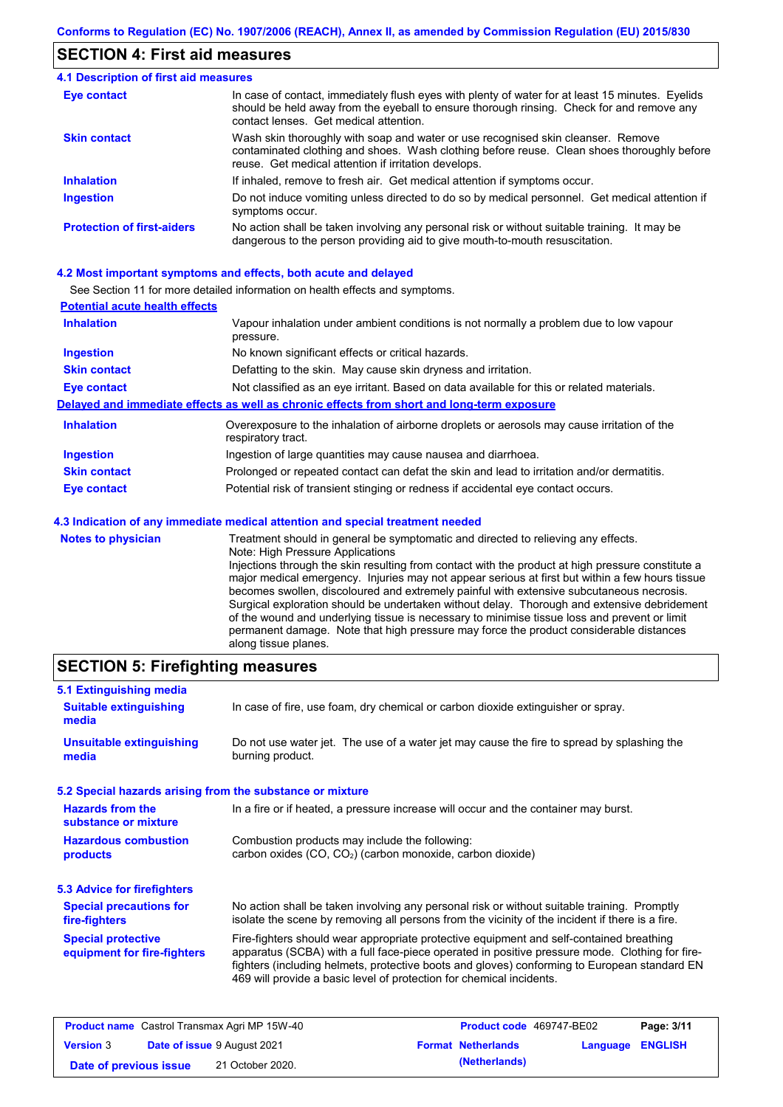## **SECTION 4: First aid measures**

#### Do not induce vomiting unless directed to do so by medical personnel. Get medical attention if symptoms occur. In case of contact, immediately flush eyes with plenty of water for at least 15 minutes. Eyelids should be held away from the eyeball to ensure thorough rinsing. Check for and remove any contact lenses. Get medical attention. **4.1 Description of first aid measures** If inhaled, remove to fresh air. Get medical attention if symptoms occur. **Ingestion Inhalation Eye contact Protection of first-aiders** No action shall be taken involving any personal risk or without suitable training. It may be dangerous to the person providing aid to give mouth-to-mouth resuscitation. **Skin contact** Wash skin thoroughly with soap and water or use recognised skin cleanser. Remove contaminated clothing and shoes. Wash clothing before reuse. Clean shoes thoroughly before reuse. Get medical attention if irritation develops.

#### **4.2 Most important symptoms and effects, both acute and delayed**

See Section 11 for more detailed information on health effects and symptoms.

| <b>Potential acute health effects</b> |                                                                                                                   |
|---------------------------------------|-------------------------------------------------------------------------------------------------------------------|
| <b>Inhalation</b>                     | Vapour inhalation under ambient conditions is not normally a problem due to low vapour<br>pressure.               |
| <b>Ingestion</b>                      | No known significant effects or critical hazards.                                                                 |
| <b>Skin contact</b>                   | Defatting to the skin. May cause skin dryness and irritation.                                                     |
| <b>Eye contact</b>                    | Not classified as an eye irritant. Based on data available for this or related materials.                         |
|                                       | Delayed and immediate effects as well as chronic effects from short and long-term exposure                        |
| <b>Inhalation</b>                     | Overexposure to the inhalation of airborne droplets or aerosols may cause irritation of the<br>respiratory tract. |
| <b>Ingestion</b>                      | Ingestion of large quantities may cause nausea and diarrhoea.                                                     |
| <b>Skin contact</b>                   | Prolonged or repeated contact can defat the skin and lead to irritation and/or dermatitis.                        |
| Eye contact                           | Potential risk of transient stinging or redness if accidental eye contact occurs.                                 |
|                                       | 4.3 Indication of any immediate medical attention and special treatment needed                                    |
| Notes to physician                    | Treatment should in general he symptomatic and directed to relieving any effects                                  |

**es to physician** Treatment should in general be symptomatic and directed to relieving any effects. Note: High Pressure Applications Injections through the skin resulting from contact with the product at high pressure constitute a major medical emergency. Injuries may not appear serious at first but within a few hours tissue becomes swollen, discoloured and extremely painful with extensive subcutaneous necrosis. Surgical exploration should be undertaken without delay. Thorough and extensive debridement of the wound and underlying tissue is necessary to minimise tissue loss and prevent or limit permanent damage. Note that high pressure may force the product considerable distances along tissue planes.

## **SECTION 5: Firefighting measures**

| 5.1 Extinguishing media                                   |                                                                                                                                                                                                                                                                                                                                                                   |
|-----------------------------------------------------------|-------------------------------------------------------------------------------------------------------------------------------------------------------------------------------------------------------------------------------------------------------------------------------------------------------------------------------------------------------------------|
| <b>Suitable extinguishing</b><br>media                    | In case of fire, use foam, dry chemical or carbon dioxide extinguisher or spray.                                                                                                                                                                                                                                                                                  |
| <b>Unsuitable extinguishing</b><br>media                  | Do not use water jet. The use of a water jet may cause the fire to spread by splashing the<br>burning product.                                                                                                                                                                                                                                                    |
| 5.2 Special hazards arising from the substance or mixture |                                                                                                                                                                                                                                                                                                                                                                   |
| <b>Hazards from the</b><br>substance or mixture           | In a fire or if heated, a pressure increase will occur and the container may burst.                                                                                                                                                                                                                                                                               |
| <b>Hazardous combustion</b><br>products                   | Combustion products may include the following:<br>carbon oxides (CO, CO <sub>2</sub> ) (carbon monoxide, carbon dioxide)                                                                                                                                                                                                                                          |
| 5.3 Advice for firefighters                               |                                                                                                                                                                                                                                                                                                                                                                   |
| <b>Special precautions for</b><br>fire-fighters           | No action shall be taken involving any personal risk or without suitable training. Promptly<br>isolate the scene by removing all persons from the vicinity of the incident if there is a fire.                                                                                                                                                                    |
| <b>Special protective</b><br>equipment for fire-fighters  | Fire-fighters should wear appropriate protective equipment and self-contained breathing<br>apparatus (SCBA) with a full face-piece operated in positive pressure mode. Clothing for fire-<br>fighters (including helmets, protective boots and gloves) conforming to European standard EN<br>469 will provide a basic level of protection for chemical incidents. |

| <b>Product name</b> Castrol Transmax Agri MP 15W-40 |  | <b>Product code</b> 469747-BE02    |                           | Page: 3/11              |  |
|-----------------------------------------------------|--|------------------------------------|---------------------------|-------------------------|--|
| <b>Version 3</b>                                    |  | <b>Date of issue 9 August 2021</b> | <b>Format Netherlands</b> | <b>Language ENGLISH</b> |  |
| Date of previous issue                              |  | 21 October 2020.                   | (Netherlands)             |                         |  |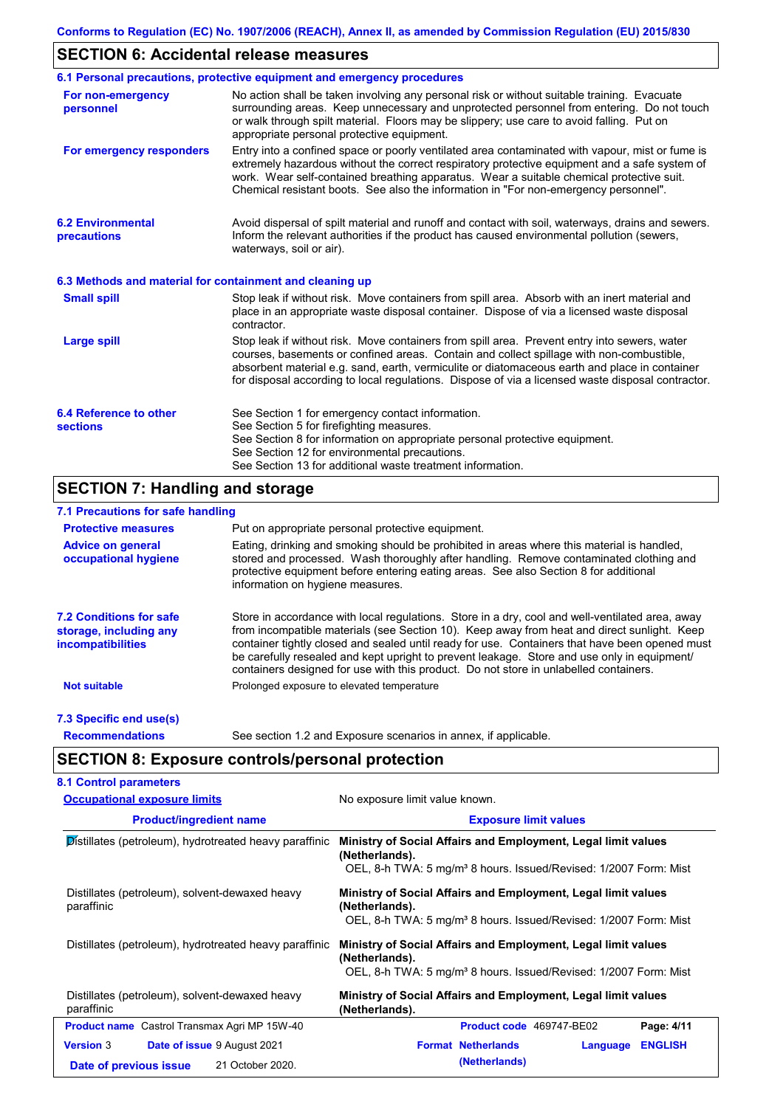## **SECTION 6: Accidental release measures**

|                                                          | 6.1 Personal precautions, protective equipment and emergency procedures                                                                                                                                                                                                                                                                                                                        |
|----------------------------------------------------------|------------------------------------------------------------------------------------------------------------------------------------------------------------------------------------------------------------------------------------------------------------------------------------------------------------------------------------------------------------------------------------------------|
| For non-emergency<br>personnel                           | No action shall be taken involving any personal risk or without suitable training. Evacuate<br>surrounding areas. Keep unnecessary and unprotected personnel from entering. Do not touch<br>or walk through spilt material. Floors may be slippery; use care to avoid falling. Put on<br>appropriate personal protective equipment.                                                            |
| For emergency responders                                 | Entry into a confined space or poorly ventilated area contaminated with vapour, mist or fume is<br>extremely hazardous without the correct respiratory protective equipment and a safe system of<br>work. Wear self-contained breathing apparatus. Wear a suitable chemical protective suit.<br>Chemical resistant boots. See also the information in "For non-emergency personnel".           |
| <b>6.2 Environmental</b><br>precautions                  | Avoid dispersal of spilt material and runoff and contact with soil, waterways, drains and sewers.<br>Inform the relevant authorities if the product has caused environmental pollution (sewers,<br>waterways, soil or air).                                                                                                                                                                    |
| 6.3 Methods and material for containment and cleaning up |                                                                                                                                                                                                                                                                                                                                                                                                |
| <b>Small spill</b>                                       | Stop leak if without risk. Move containers from spill area. Absorb with an inert material and<br>place in an appropriate waste disposal container. Dispose of via a licensed waste disposal<br>contractor.                                                                                                                                                                                     |
| <b>Large spill</b>                                       | Stop leak if without risk. Move containers from spill area. Prevent entry into sewers, water<br>courses, basements or confined areas. Contain and collect spillage with non-combustible,<br>absorbent material e.g. sand, earth, vermiculite or diatomaceous earth and place in container<br>for disposal according to local regulations. Dispose of via a licensed waste disposal contractor. |
| 6.4 Reference to other<br><b>sections</b>                | See Section 1 for emergency contact information.<br>See Section 5 for firefighting measures.<br>See Section 8 for information on appropriate personal protective equipment.<br>See Section 12 for environmental precautions.<br>See Section 13 for additional waste treatment information.                                                                                                     |

# **SECTION 7: Handling and storage**

## **7.1 Precautions for safe handling**

| <b>Protective measures</b>                                                           | Put on appropriate personal protective equipment.                                                                                                                                                                                                                                                                                                                                                                                                                                        |
|--------------------------------------------------------------------------------------|------------------------------------------------------------------------------------------------------------------------------------------------------------------------------------------------------------------------------------------------------------------------------------------------------------------------------------------------------------------------------------------------------------------------------------------------------------------------------------------|
| <b>Advice on general</b><br>occupational hygiene                                     | Eating, drinking and smoking should be prohibited in areas where this material is handled,<br>stored and processed. Wash thoroughly after handling. Remove contaminated clothing and<br>protective equipment before entering eating areas. See also Section 8 for additional<br>information on hygiene measures.                                                                                                                                                                         |
| <b>7.2 Conditions for safe</b><br>storage, including any<br><i>incompatibilities</i> | Store in accordance with local requiations. Store in a dry, cool and well-ventilated area, away<br>from incompatible materials (see Section 10). Keep away from heat and direct sunlight. Keep<br>container tightly closed and sealed until ready for use. Containers that have been opened must<br>be carefully resealed and kept upright to prevent leakage. Store and use only in equipment/<br>containers designed for use with this product. Do not store in unlabelled containers. |
| <b>Not suitable</b>                                                                  | Prolonged exposure to elevated temperature                                                                                                                                                                                                                                                                                                                                                                                                                                               |
| 7.3 Specific end use(s)                                                              |                                                                                                                                                                                                                                                                                                                                                                                                                                                                                          |
| <b>Recommendations</b>                                                               | See section 1.2 and Exposure scenarios in annex, if applicable.                                                                                                                                                                                                                                                                                                                                                                                                                          |

# **SECTION 8: Exposure controls/personal protection**

| <b>Occupational exposure limits</b>                          | No exposure limit value known.                                                                                                                                  |  |
|--------------------------------------------------------------|-----------------------------------------------------------------------------------------------------------------------------------------------------------------|--|
| <b>Product/ingredient name</b>                               | <b>Exposure limit values</b>                                                                                                                                    |  |
| Distillates (petroleum), hydrotreated heavy paraffinic       | Ministry of Social Affairs and Employment, Legal limit values<br>(Netherlands).<br>OEL, 8-h TWA: 5 mg/m <sup>3</sup> 8 hours. Issued/Revised: 1/2007 Form: Mist |  |
| Distillates (petroleum), solvent-dewaxed heavy<br>paraffinic | Ministry of Social Affairs and Employment, Legal limit values<br>(Netherlands).<br>OEL, 8-h TWA: 5 mg/m <sup>3</sup> 8 hours. Issued/Revised: 1/2007 Form: Mist |  |
| Distillates (petroleum), hydrotreated heavy paraffinic       | Ministry of Social Affairs and Employment, Legal limit values<br>(Netherlands).<br>OEL, 8-h TWA: 5 mg/m <sup>3</sup> 8 hours. Issued/Revised: 1/2007 Form: Mist |  |
| Distillates (petroleum), solvent-dewaxed heavy<br>paraffinic | Ministry of Social Affairs and Employment, Legal limit values<br>(Netherlands).                                                                                 |  |
| <b>Product name</b> Castrol Transmax Agri MP 15W-40          | Product code 469747-BE02<br>Page: 4/11                                                                                                                          |  |
| <b>Version 3</b><br>Date of issue 9 August 2021              | <b>Format Netherlands</b><br><b>ENGLISH</b><br>Language                                                                                                         |  |
| 21 October 2020.<br>Date of previous issue                   | (Netherlands)                                                                                                                                                   |  |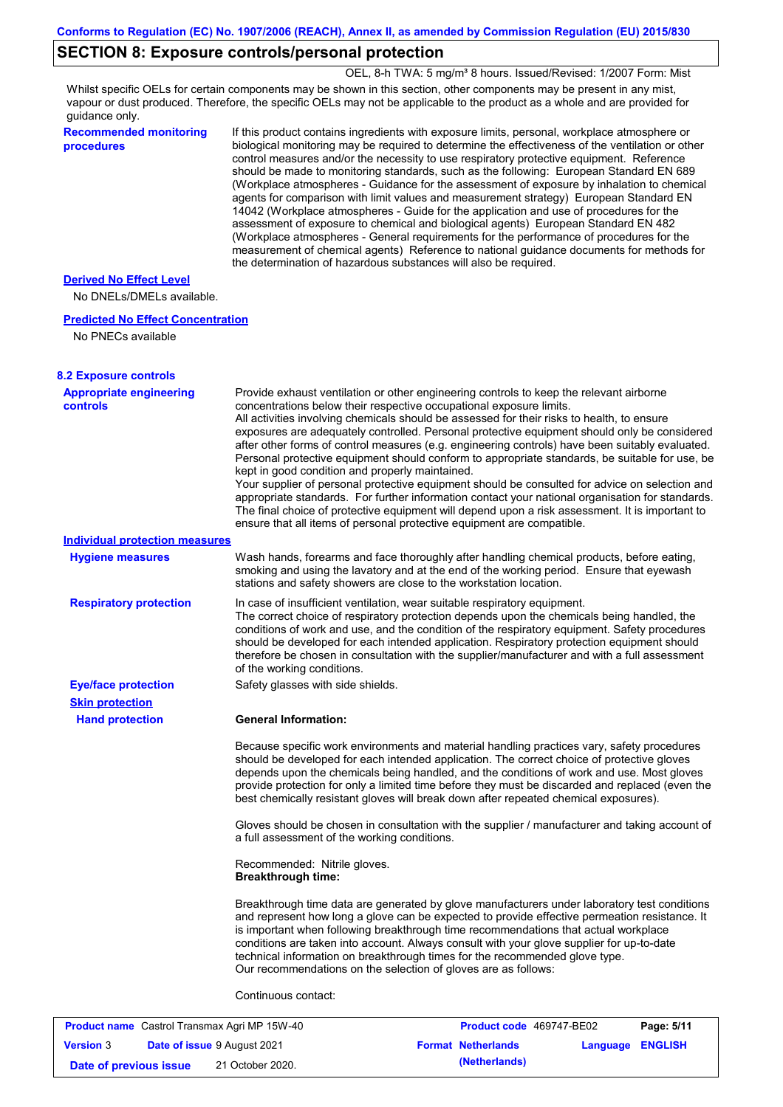## **SECTION 8: Exposure controls/personal protection**

OEL, 8-h TWA: 5 mg/m<sup>3</sup> 8 hours. Issued/Revised: 1/2007 Form: Mist

Whilst specific OELs for certain components may be shown in this section, other components may be present in any mist, vapour or dust produced. Therefore, the specific OELs may not be applicable to the product as a whole and are provided for guidance only.

**Recommended monitoring procedures**

If this product contains ingredients with exposure limits, personal, workplace atmosphere or biological monitoring may be required to determine the effectiveness of the ventilation or other control measures and/or the necessity to use respiratory protective equipment. Reference should be made to monitoring standards, such as the following: European Standard EN 689 (Workplace atmospheres - Guidance for the assessment of exposure by inhalation to chemical agents for comparison with limit values and measurement strategy) European Standard EN 14042 (Workplace atmospheres - Guide for the application and use of procedures for the assessment of exposure to chemical and biological agents) European Standard EN 482 (Workplace atmospheres - General requirements for the performance of procedures for the measurement of chemical agents) Reference to national guidance documents for methods for the determination of hazardous substances will also be required.

### **Derived No Effect Level**

No DNELs/DMELs available.

#### **Predicted No Effect Concentration**

No PNECs available

| <b>8.2 Exposure controls</b>               |                                                                                                                                                                                                                                                                                                                                                                                                                                                                                                                                                                                                                                                                                                                                                                                                                                                                                                                                                                                                         |
|--------------------------------------------|---------------------------------------------------------------------------------------------------------------------------------------------------------------------------------------------------------------------------------------------------------------------------------------------------------------------------------------------------------------------------------------------------------------------------------------------------------------------------------------------------------------------------------------------------------------------------------------------------------------------------------------------------------------------------------------------------------------------------------------------------------------------------------------------------------------------------------------------------------------------------------------------------------------------------------------------------------------------------------------------------------|
| <b>Appropriate engineering</b><br>controls | Provide exhaust ventilation or other engineering controls to keep the relevant airborne<br>concentrations below their respective occupational exposure limits.<br>All activities involving chemicals should be assessed for their risks to health, to ensure<br>exposures are adequately controlled. Personal protective equipment should only be considered<br>after other forms of control measures (e.g. engineering controls) have been suitably evaluated.<br>Personal protective equipment should conform to appropriate standards, be suitable for use, be<br>kept in good condition and properly maintained.<br>Your supplier of personal protective equipment should be consulted for advice on selection and<br>appropriate standards. For further information contact your national organisation for standards.<br>The final choice of protective equipment will depend upon a risk assessment. It is important to<br>ensure that all items of personal protective equipment are compatible. |
| <b>Individual protection measures</b>      |                                                                                                                                                                                                                                                                                                                                                                                                                                                                                                                                                                                                                                                                                                                                                                                                                                                                                                                                                                                                         |
| <b>Hygiene measures</b>                    | Wash hands, forearms and face thoroughly after handling chemical products, before eating,<br>smoking and using the lavatory and at the end of the working period. Ensure that eyewash<br>stations and safety showers are close to the workstation location.                                                                                                                                                                                                                                                                                                                                                                                                                                                                                                                                                                                                                                                                                                                                             |
| <b>Respiratory protection</b>              | In case of insufficient ventilation, wear suitable respiratory equipment.<br>The correct choice of respiratory protection depends upon the chemicals being handled, the<br>conditions of work and use, and the condition of the respiratory equipment. Safety procedures<br>should be developed for each intended application. Respiratory protection equipment should<br>therefore be chosen in consultation with the supplier/manufacturer and with a full assessment<br>of the working conditions.                                                                                                                                                                                                                                                                                                                                                                                                                                                                                                   |
| <b>Eye/face protection</b>                 | Safety glasses with side shields.                                                                                                                                                                                                                                                                                                                                                                                                                                                                                                                                                                                                                                                                                                                                                                                                                                                                                                                                                                       |
| <b>Skin protection</b>                     |                                                                                                                                                                                                                                                                                                                                                                                                                                                                                                                                                                                                                                                                                                                                                                                                                                                                                                                                                                                                         |
| <b>Hand protection</b>                     | <b>General Information:</b>                                                                                                                                                                                                                                                                                                                                                                                                                                                                                                                                                                                                                                                                                                                                                                                                                                                                                                                                                                             |
|                                            | Because specific work environments and material handling practices vary, safety procedures<br>should be developed for each intended application. The correct choice of protective gloves<br>depends upon the chemicals being handled, and the conditions of work and use. Most gloves<br>provide protection for only a limited time before they must be discarded and replaced (even the<br>best chemically resistant gloves will break down after repeated chemical exposures).                                                                                                                                                                                                                                                                                                                                                                                                                                                                                                                        |
|                                            | Gloves should be chosen in consultation with the supplier / manufacturer and taking account of<br>a full assessment of the working conditions.                                                                                                                                                                                                                                                                                                                                                                                                                                                                                                                                                                                                                                                                                                                                                                                                                                                          |
|                                            | Recommended: Nitrile gloves.<br><b>Breakthrough time:</b>                                                                                                                                                                                                                                                                                                                                                                                                                                                                                                                                                                                                                                                                                                                                                                                                                                                                                                                                               |
|                                            | Breakthrough time data are generated by glove manufacturers under laboratory test conditions<br>and represent how long a glove can be expected to provide effective permeation resistance. It<br>is important when following breakthrough time recommendations that actual workplace<br>conditions are taken into account. Always consult with your glove supplier for up-to-date<br>technical information on breakthrough times for the recommended glove type.<br>Our recommendations on the selection of gloves are as follows:                                                                                                                                                                                                                                                                                                                                                                                                                                                                      |
|                                            | Continuous contact:                                                                                                                                                                                                                                                                                                                                                                                                                                                                                                                                                                                                                                                                                                                                                                                                                                                                                                                                                                                     |

| <b>Product name</b> Castrol Transmax Agri MP 15W-40 |  | Product code 469747-BE02    |  | Page: 5/11                |                  |  |
|-----------------------------------------------------|--|-----------------------------|--|---------------------------|------------------|--|
| <b>Version</b> 3                                    |  | Date of issue 9 August 2021 |  | <b>Format Netherlands</b> | Language ENGLISH |  |
| Date of previous issue                              |  | 21 October 2020.            |  | (Netherlands)             |                  |  |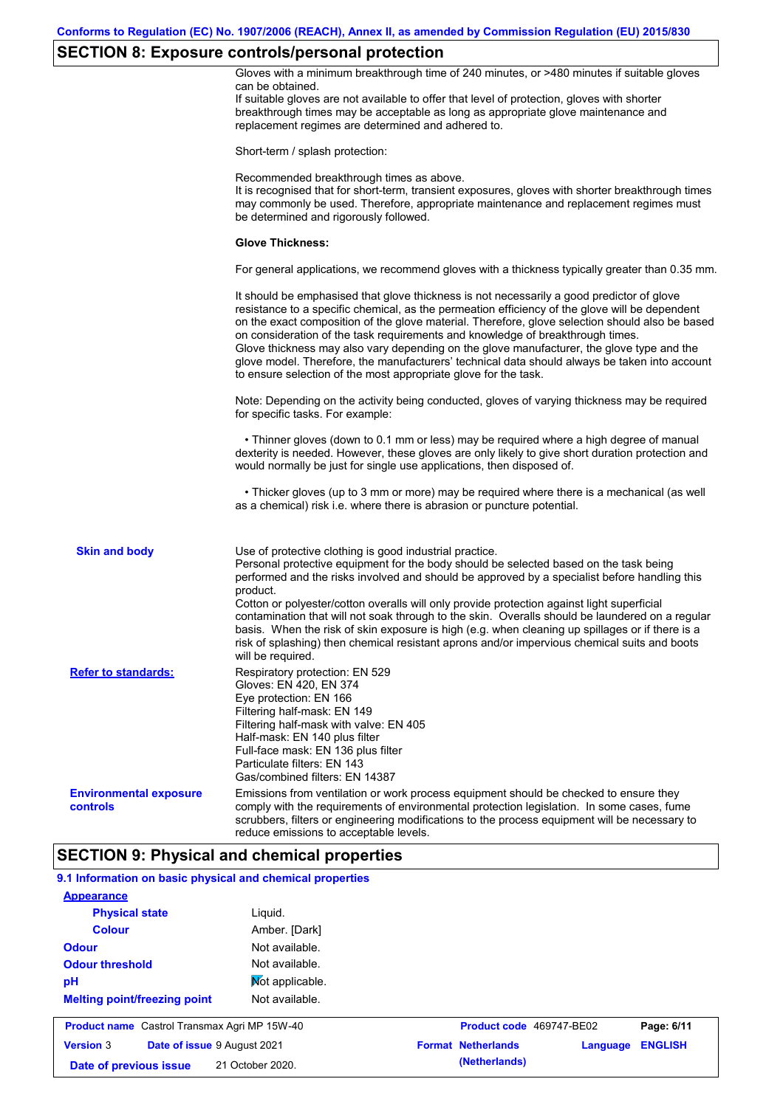# **SECTION 8: Exposure controls/personal protection**

|                                                           | $\sim$<br>Gloves with a minimum breakthrough time of 240 minutes, or >480 minutes if suitable gloves<br>can be obtained.<br>If suitable gloves are not available to offer that level of protection, gloves with shorter<br>breakthrough times may be acceptable as long as appropriate glove maintenance and<br>replacement regimes are determined and adhered to.                                                                                                                                                                                                                                                                                                                    |
|-----------------------------------------------------------|---------------------------------------------------------------------------------------------------------------------------------------------------------------------------------------------------------------------------------------------------------------------------------------------------------------------------------------------------------------------------------------------------------------------------------------------------------------------------------------------------------------------------------------------------------------------------------------------------------------------------------------------------------------------------------------|
|                                                           | Short-term / splash protection:                                                                                                                                                                                                                                                                                                                                                                                                                                                                                                                                                                                                                                                       |
|                                                           | Recommended breakthrough times as above.<br>It is recognised that for short-term, transient exposures, gloves with shorter breakthrough times<br>may commonly be used. Therefore, appropriate maintenance and replacement regimes must<br>be determined and rigorously followed.                                                                                                                                                                                                                                                                                                                                                                                                      |
|                                                           | <b>Glove Thickness:</b>                                                                                                                                                                                                                                                                                                                                                                                                                                                                                                                                                                                                                                                               |
|                                                           | For general applications, we recommend gloves with a thickness typically greater than 0.35 mm.                                                                                                                                                                                                                                                                                                                                                                                                                                                                                                                                                                                        |
|                                                           | It should be emphasised that glove thickness is not necessarily a good predictor of glove<br>resistance to a specific chemical, as the permeation efficiency of the glove will be dependent<br>on the exact composition of the glove material. Therefore, glove selection should also be based<br>on consideration of the task requirements and knowledge of breakthrough times.<br>Glove thickness may also vary depending on the glove manufacturer, the glove type and the<br>glove model. Therefore, the manufacturers' technical data should always be taken into account<br>to ensure selection of the most appropriate glove for the task.                                     |
|                                                           | Note: Depending on the activity being conducted, gloves of varying thickness may be required<br>for specific tasks. For example:                                                                                                                                                                                                                                                                                                                                                                                                                                                                                                                                                      |
|                                                           | • Thinner gloves (down to 0.1 mm or less) may be required where a high degree of manual<br>dexterity is needed. However, these gloves are only likely to give short duration protection and<br>would normally be just for single use applications, then disposed of.                                                                                                                                                                                                                                                                                                                                                                                                                  |
|                                                           | • Thicker gloves (up to 3 mm or more) may be required where there is a mechanical (as well<br>as a chemical) risk i.e. where there is abrasion or puncture potential.                                                                                                                                                                                                                                                                                                                                                                                                                                                                                                                 |
| <b>Skin and body</b>                                      | Use of protective clothing is good industrial practice.<br>Personal protective equipment for the body should be selected based on the task being<br>performed and the risks involved and should be approved by a specialist before handling this<br>product.<br>Cotton or polyester/cotton overalls will only provide protection against light superficial<br>contamination that will not soak through to the skin. Overalls should be laundered on a regular<br>basis. When the risk of skin exposure is high (e.g. when cleaning up spillages or if there is a<br>risk of splashing) then chemical resistant aprons and/or impervious chemical suits and boots<br>will be required. |
| <b>Refer to standards:</b>                                | Respiratory protection: EN 529<br>Gloves: EN 420, EN 374<br>Eye protection: EN 166<br>Filtering half-mask: EN 149<br>Filtering half-mask with valve: EN 405<br>Half-mask: EN 140 plus filter<br>Full-face mask: EN 136 plus filter<br>Particulate filters: EN 143<br>Gas/combined filters: EN 14387                                                                                                                                                                                                                                                                                                                                                                                   |
| <b>Environmental exposure</b><br>controls                 | Emissions from ventilation or work process equipment should be checked to ensure they<br>comply with the requirements of environmental protection legislation. In some cases, fume<br>scrubbers, filters or engineering modifications to the process equipment will be necessary to<br>reduce emissions to acceptable levels.                                                                                                                                                                                                                                                                                                                                                         |
|                                                           | <b>SECTION 9: Physical and chemical properties</b>                                                                                                                                                                                                                                                                                                                                                                                                                                                                                                                                                                                                                                    |
| 9.1 Information on basic physical and chemical properties |                                                                                                                                                                                                                                                                                                                                                                                                                                                                                                                                                                                                                                                                                       |
| <b>Appearance</b>                                         |                                                                                                                                                                                                                                                                                                                                                                                                                                                                                                                                                                                                                                                                                       |
| <b>Physical state</b>                                     | Liquid.                                                                                                                                                                                                                                                                                                                                                                                                                                                                                                                                                                                                                                                                               |
| <b>Colour</b>                                             | Amber. [Dark]                                                                                                                                                                                                                                                                                                                                                                                                                                                                                                                                                                                                                                                                         |
| <b>Odour</b>                                              | Not available.                                                                                                                                                                                                                                                                                                                                                                                                                                                                                                                                                                                                                                                                        |
| <b>Odour threshold</b>                                    | Not available.                                                                                                                                                                                                                                                                                                                                                                                                                                                                                                                                                                                                                                                                        |
| рH                                                        | Mot applicable.                                                                                                                                                                                                                                                                                                                                                                                                                                                                                                                                                                                                                                                                       |

| <b>Product name</b> Castrol Transmax Agri MP 15W-40 |  | Product code 469747-BE02           |  | Page: 6/11                |                         |  |
|-----------------------------------------------------|--|------------------------------------|--|---------------------------|-------------------------|--|
| <b>Version 3</b>                                    |  | <b>Date of issue 9 August 2021</b> |  | <b>Format Netherlands</b> | <b>Language ENGLISH</b> |  |
| Date of previous issue                              |  | 21 October 2020.                   |  | (Netherlands)             |                         |  |

Not available.

**Melting point/freezing point**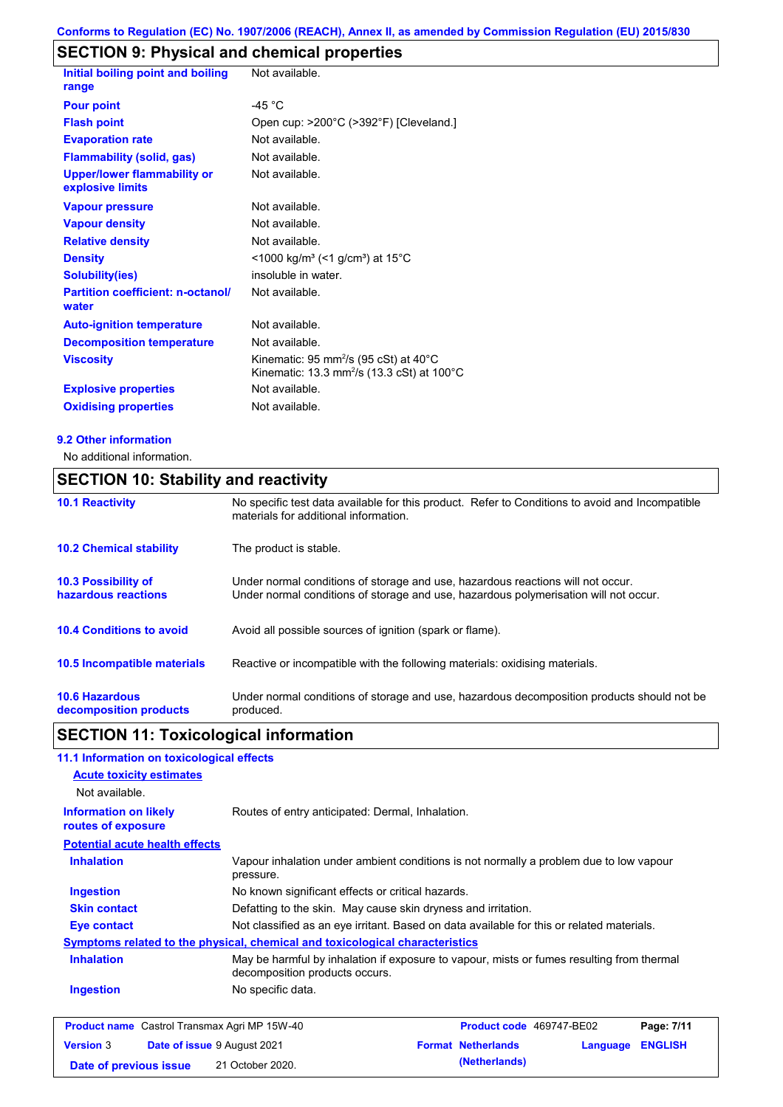# **SECTION 9: Physical and chemical properties**

| Initial boiling point and boiling<br>range             | Not available.                                                                                                                    |
|--------------------------------------------------------|-----------------------------------------------------------------------------------------------------------------------------------|
| <b>Pour point</b>                                      | -45 $^{\circ}$ C                                                                                                                  |
| <b>Flash point</b>                                     | Open cup: >200°C (>392°F) [Cleveland.]                                                                                            |
| <b>Evaporation rate</b>                                | Not available.                                                                                                                    |
| <b>Flammability (solid, gas)</b>                       | Not available.                                                                                                                    |
| <b>Upper/lower flammability or</b><br>explosive limits | Not available.                                                                                                                    |
| <b>Vapour pressure</b>                                 | Not available.                                                                                                                    |
| <b>Vapour density</b>                                  | Not available.                                                                                                                    |
| <b>Relative density</b>                                | Not available.                                                                                                                    |
| <b>Density</b>                                         | $<$ 1000 kg/m <sup>3</sup> (<1 g/cm <sup>3</sup> ) at 15 <sup>°</sup> C                                                           |
| <b>Solubility(ies)</b>                                 | insoluble in water.                                                                                                               |
| <b>Partition coefficient: n-octanol/</b><br>water      | Not available.                                                                                                                    |
| <b>Auto-ignition temperature</b>                       | Not available.                                                                                                                    |
| <b>Decomposition temperature</b>                       | Not available.                                                                                                                    |
| <b>Viscosity</b>                                       | Kinematic: 95 mm <sup>2</sup> /s (95 cSt) at 40 $^{\circ}$ C<br>Kinematic: 13.3 mm <sup>2</sup> /s (13.3 cSt) at 100 $^{\circ}$ C |
| <b>Explosive properties</b>                            | Not available.                                                                                                                    |
| <b>Oxidising properties</b>                            | Not available.                                                                                                                    |

#### **9.2 Other information**

No additional information.

## **SECTION 10: Stability and reactivity**

| <b>10.1 Reactivity</b>                            | No specific test data available for this product. Refer to Conditions to avoid and Incompatible<br>materials for additional information.                                |
|---------------------------------------------------|-------------------------------------------------------------------------------------------------------------------------------------------------------------------------|
| <b>10.2 Chemical stability</b>                    | The product is stable.                                                                                                                                                  |
| <b>10.3 Possibility of</b><br>hazardous reactions | Under normal conditions of storage and use, hazardous reactions will not occur.<br>Under normal conditions of storage and use, hazardous polymerisation will not occur. |
| <b>10.4 Conditions to avoid</b>                   | Avoid all possible sources of ignition (spark or flame).                                                                                                                |
| <b>10.5 Incompatible materials</b>                | Reactive or incompatible with the following materials: oxidising materials.                                                                                             |
| <b>10.6 Hazardous</b><br>decomposition products   | Under normal conditions of storage and use, hazardous decomposition products should not be<br>produced.                                                                 |

## **SECTION 11: Toxicological information**

## **11.1 Information on toxicological effects**

|                                                    | 11.1 milomaalon on toxicological enects                                                                                     |                           |          |                |
|----------------------------------------------------|-----------------------------------------------------------------------------------------------------------------------------|---------------------------|----------|----------------|
| <b>Acute toxicity estimates</b>                    |                                                                                                                             |                           |          |                |
| Not available.                                     |                                                                                                                             |                           |          |                |
| <b>Information on likely</b><br>routes of exposure | Routes of entry anticipated: Dermal, Inhalation.                                                                            |                           |          |                |
| <b>Potential acute health effects</b>              |                                                                                                                             |                           |          |                |
| <b>Inhalation</b>                                  | Vapour inhalation under ambient conditions is not normally a problem due to low vapour<br>pressure.                         |                           |          |                |
| <b>Ingestion</b>                                   | No known significant effects or critical hazards.                                                                           |                           |          |                |
| <b>Skin contact</b>                                | Defatting to the skin. May cause skin dryness and irritation.                                                               |                           |          |                |
| Eye contact                                        | Not classified as an eye irritant. Based on data available for this or related materials.                                   |                           |          |                |
|                                                    | <b>Symptoms related to the physical, chemical and toxicological characteristics</b>                                         |                           |          |                |
| <b>Inhalation</b>                                  | May be harmful by inhalation if exposure to vapour, mists or fumes resulting from thermal<br>decomposition products occurs. |                           |          |                |
| <b>Ingestion</b>                                   | No specific data.                                                                                                           |                           |          |                |
|                                                    | <b>Product name</b> Castrol Transmax Agri MP 15W-40                                                                         | Product code 469747-BE02  |          | Page: 7/11     |
| <b>Version 3</b>                                   | <b>Date of issue 9 August 2021</b>                                                                                          | <b>Format Netherlands</b> | Language | <b>ENGLISH</b> |

**Date of previous issue (Netherlands)** 21 October 2020.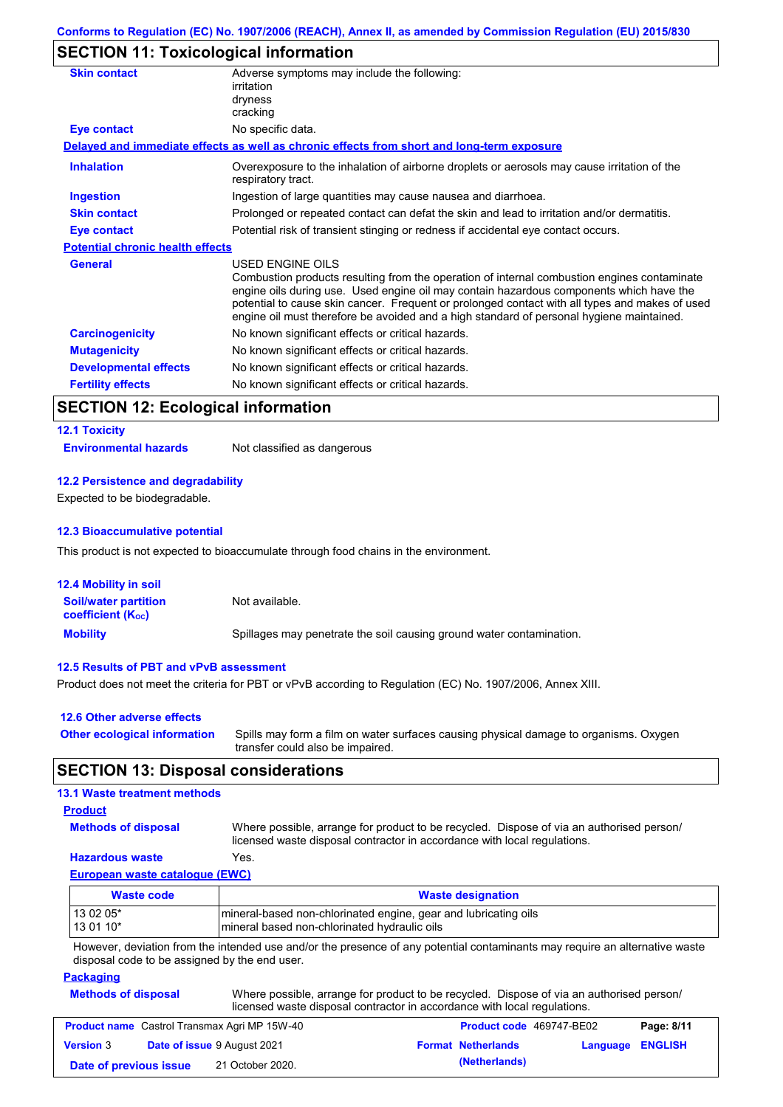## **SECTION 11: Toxicological information**

| <b>Skin contact</b>                     | Adverse symptoms may include the following:<br>irritation                                                                                                                                                                                                                                                                                                                                                       |
|-----------------------------------------|-----------------------------------------------------------------------------------------------------------------------------------------------------------------------------------------------------------------------------------------------------------------------------------------------------------------------------------------------------------------------------------------------------------------|
|                                         | dryness<br>cracking                                                                                                                                                                                                                                                                                                                                                                                             |
| <b>Eye contact</b>                      | No specific data.                                                                                                                                                                                                                                                                                                                                                                                               |
|                                         | Delayed and immediate effects as well as chronic effects from short and long-term exposure                                                                                                                                                                                                                                                                                                                      |
| <b>Inhalation</b>                       | Overexposure to the inhalation of airborne droplets or aerosols may cause irritation of the<br>respiratory tract.                                                                                                                                                                                                                                                                                               |
| <b>Ingestion</b>                        | Ingestion of large quantities may cause nausea and diarrhoea.                                                                                                                                                                                                                                                                                                                                                   |
| <b>Skin contact</b>                     | Prolonged or repeated contact can defat the skin and lead to irritation and/or dermatitis.                                                                                                                                                                                                                                                                                                                      |
| Eye contact                             | Potential risk of transient stinging or redness if accidental eye contact occurs.                                                                                                                                                                                                                                                                                                                               |
| <b>Potential chronic health effects</b> |                                                                                                                                                                                                                                                                                                                                                                                                                 |
| <b>General</b>                          | <b>USED ENGINE OILS</b><br>Combustion products resulting from the operation of internal combustion engines contaminate<br>engine oils during use. Used engine oil may contain hazardous components which have the<br>potential to cause skin cancer. Frequent or prolonged contact with all types and makes of used<br>engine oil must therefore be avoided and a high standard of personal hygiene maintained. |
| <b>Carcinogenicity</b>                  | No known significant effects or critical hazards.                                                                                                                                                                                                                                                                                                                                                               |
| <b>Mutagenicity</b>                     | No known significant effects or critical hazards.                                                                                                                                                                                                                                                                                                                                                               |
| <b>Developmental effects</b>            | No known significant effects or critical hazards.                                                                                                                                                                                                                                                                                                                                                               |
| <b>Fertility effects</b>                | No known significant effects or critical hazards.                                                                                                                                                                                                                                                                                                                                                               |

## **SECTION 12: Ecological information**

## **12.1 Toxicity Environmental hazards** Not classified as dangerous

#### **12.2 Persistence and degradability**

Expected to be biodegradable.

#### **12.3 Bioaccumulative potential**

This product is not expected to bioaccumulate through food chains in the environment.

| <b>12.4 Mobility in soil</b>                            |                                                                      |
|---------------------------------------------------------|----------------------------------------------------------------------|
| <b>Soil/water partition</b><br><b>coefficient (Koc)</b> | Not available.                                                       |
| <b>Mobility</b>                                         | Spillages may penetrate the soil causing ground water contamination. |

#### **12.5 Results of PBT and vPvB assessment**

Product does not meet the criteria for PBT or vPvB according to Regulation (EC) No. 1907/2006, Annex XIII.

| 12.6 Other adverse effects          |                                                                                                                           |
|-------------------------------------|---------------------------------------------------------------------------------------------------------------------------|
| <b>Other ecological information</b> | Spills may form a film on water surfaces causing physical damage to organisms. Oxygen<br>transfer could also be impaired. |

## **SECTION 13: Disposal considerations**

#### **13.1 Waste treatment methods**

#### **Product**

**Methods of disposal**

Where possible, arrange for product to be recycled. Dispose of via an authorised person/ licensed waste disposal contractor in accordance with local regulations.

#### **Hazardous waste** Yes.

**European waste catalogue (EWC)**

| Waste code | <b>Waste designation</b>                                         |
|------------|------------------------------------------------------------------|
| 13 02 05*  | Imineral-based non-chlorinated engine, gear and lubricating oils |
| $130110*$  | mineral based non-chlorinated hydraulic oils                     |

However, deviation from the intended use and/or the presence of any potential contaminants may require an alternative waste disposal code to be assigned by the end user.

#### **Packaging**

| _____                      | .<br>.                                                                                                                                                               |
|----------------------------|----------------------------------------------------------------------------------------------------------------------------------------------------------------------|
| <b>Methods of disposal</b> | Where possible, arrange for product to be recycled. Dispose of via an authorised person/<br>licensed waste disposal contractor in accordance with local regulations. |

|                        | <b>Product name</b> Castrol Transmax Agri MP 15W-40 | <b>Product code</b> 469747-BE02 |                         | Page: 8/11 |
|------------------------|-----------------------------------------------------|---------------------------------|-------------------------|------------|
| <b>Version</b> 3       | <b>Date of issue 9 August 2021</b>                  | <b>Format Netherlands</b>       | <b>Language ENGLISH</b> |            |
| Date of previous issue | 21 October 2020.                                    | (Netherlands)                   |                         |            |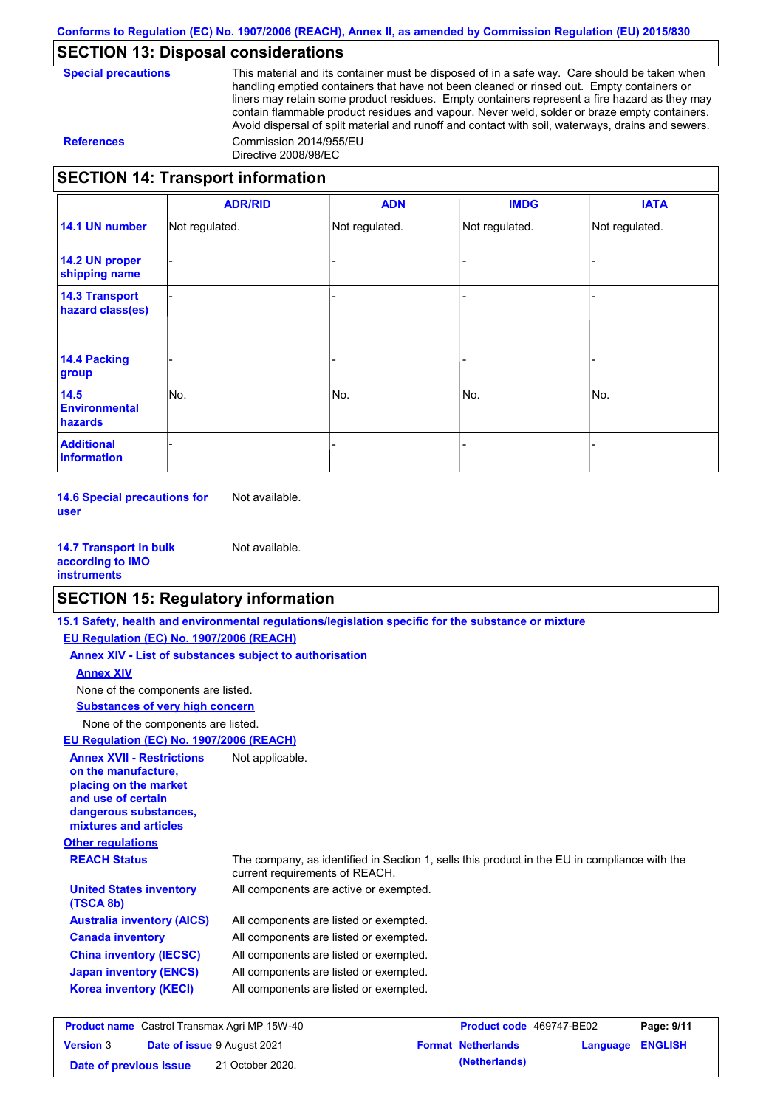## **SECTION 13: Disposal considerations**

| <b>Special precautions</b> |
|----------------------------|
|----------------------------|

This material and its container must be disposed of in a safe way. Care should be taken when handling emptied containers that have not been cleaned or rinsed out. Empty containers or liners may retain some product residues. Empty containers represent a fire hazard as they may contain flammable product residues and vapour. Never weld, solder or braze empty containers. Avoid dispersal of spilt material and runoff and contact with soil, waterways, drains and sewers. **References** Commission 2014/955/EU Directive 2008/98/EC

## **SECTION 14: Transport information**

|                                                | <b>ADR/RID</b> | <b>ADN</b>     | <b>IMDG</b>    | <b>IATA</b>    |
|------------------------------------------------|----------------|----------------|----------------|----------------|
| 14.1 UN number                                 | Not regulated. | Not regulated. | Not regulated. | Not regulated. |
| 14.2 UN proper<br>shipping name                |                |                |                |                |
| <b>14.3 Transport</b><br>hazard class(es)      |                |                |                |                |
| <b>14.4 Packing</b><br>group                   |                |                |                |                |
| 14.5<br><b>Environmental</b><br><b>hazards</b> | No.            | No.            | No.            | No.            |
| <b>Additional</b><br>information               |                |                |                |                |

**14.6 Special precautions for user** Not available.

**14.7 Transport in bulk according to IMO instruments** Not available.

## **SECTION 15: Regulatory information**

|                                                                                                                                                          | 15.1 Safety, health and environmental regulations/legislation specific for the substance or mixture                            |                           |          |                |
|----------------------------------------------------------------------------------------------------------------------------------------------------------|--------------------------------------------------------------------------------------------------------------------------------|---------------------------|----------|----------------|
| EU Regulation (EC) No. 1907/2006 (REACH)                                                                                                                 |                                                                                                                                |                           |          |                |
| <b>Annex XIV - List of substances subject to authorisation</b>                                                                                           |                                                                                                                                |                           |          |                |
| <b>Annex XIV</b>                                                                                                                                         |                                                                                                                                |                           |          |                |
| None of the components are listed.                                                                                                                       |                                                                                                                                |                           |          |                |
| <b>Substances of very high concern</b>                                                                                                                   |                                                                                                                                |                           |          |                |
| None of the components are listed.                                                                                                                       |                                                                                                                                |                           |          |                |
| EU Regulation (EC) No. 1907/2006 (REACH)                                                                                                                 |                                                                                                                                |                           |          |                |
| <b>Annex XVII - Restrictions</b><br>on the manufacture.<br>placing on the market<br>and use of certain<br>dangerous substances,<br>mixtures and articles | Not applicable.                                                                                                                |                           |          |                |
| <b>Other regulations</b>                                                                                                                                 |                                                                                                                                |                           |          |                |
| <b>REACH Status</b>                                                                                                                                      | The company, as identified in Section 1, sells this product in the EU in compliance with the<br>current requirements of REACH. |                           |          |                |
| <b>United States inventory</b><br>(TSCA 8b)                                                                                                              | All components are active or exempted.                                                                                         |                           |          |                |
| <b>Australia inventory (AICS)</b>                                                                                                                        | All components are listed or exempted.                                                                                         |                           |          |                |
| <b>Canada inventory</b>                                                                                                                                  | All components are listed or exempted.                                                                                         |                           |          |                |
| <b>China inventory (IECSC)</b>                                                                                                                           | All components are listed or exempted.                                                                                         |                           |          |                |
| <b>Japan inventory (ENCS)</b>                                                                                                                            | All components are listed or exempted.                                                                                         |                           |          |                |
| <b>Korea inventory (KECI)</b>                                                                                                                            | All components are listed or exempted.                                                                                         |                           |          |                |
| <b>Product name</b> Castrol Transmax Agri MP 15W-40                                                                                                      |                                                                                                                                | Product code 469747-BE02  |          | Page: 9/11     |
| Date of issue 9 August 2021<br><b>Version 3</b>                                                                                                          |                                                                                                                                | <b>Format Netherlands</b> | Language | <b>ENGLISH</b> |

**Date of previous issue (Netherlands)** 21 October 2020.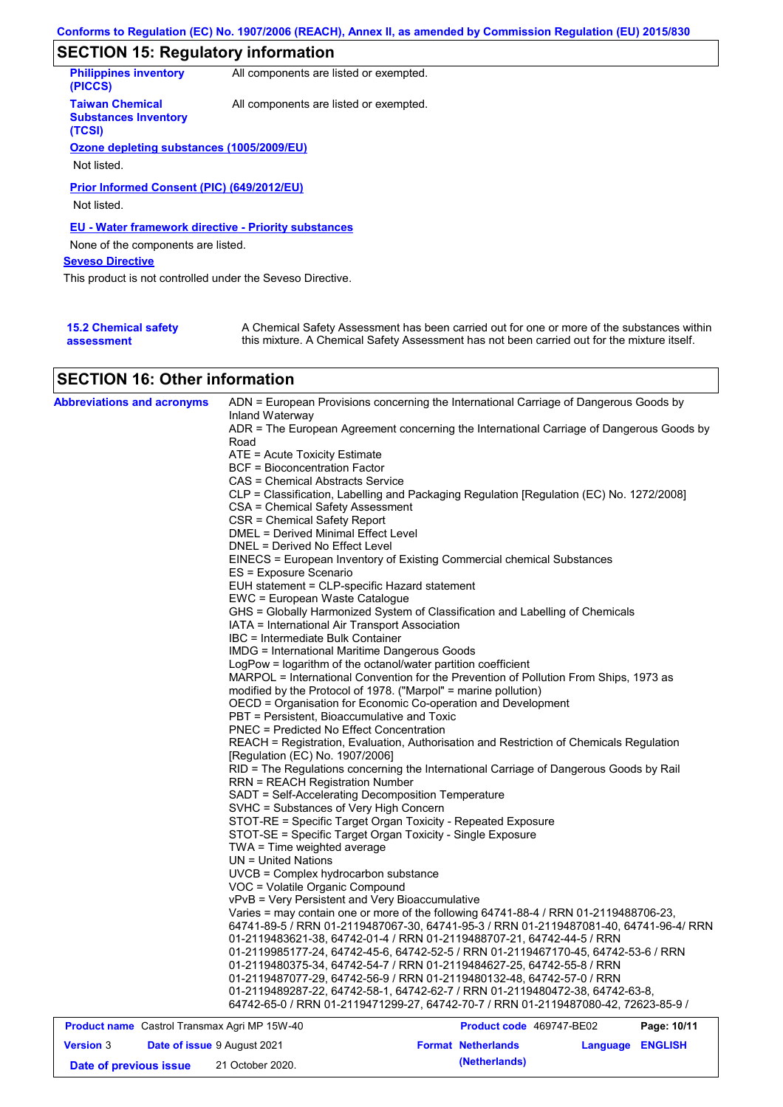# **SECTION 15: Regulatory information**

| <b>Philippines inventory</b><br>(PICCS)                         | All components are listed or exempted. |
|-----------------------------------------------------------------|----------------------------------------|
| <b>Taiwan Chemical</b><br><b>Substances Inventory</b><br>(TCSI) | All components are listed or exempted. |
| Ozone depleting substances (1005/2009/EU)                       |                                        |
|                                                                 |                                        |
| Not listed.                                                     |                                        |
| Prior Informed Consent (PIC) (649/2012/EU)<br>Not listed.       |                                        |
| <b>EU - Water framework directive - Priority substances</b>     |                                        |
| None of the components are listed.                              |                                        |
| <b>Seveso Directive</b>                                         |                                        |
| This product is not controlled under the Seveso Directive.      |                                        |
|                                                                 |                                        |
|                                                                 |                                        |

| <b>15.2 Chemical safety</b> | A Chemical Safety Assessment has been carried out for one or more of the substances within  |
|-----------------------------|---------------------------------------------------------------------------------------------|
| assessment                  | this mixture. A Chemical Safety Assessment has not been carried out for the mixture itself. |

## **SECTION 16: Other information**

| <b>Abbreviations and acronyms</b>            | Inland Waterway                                                 | ADN = European Provisions concerning the International Carriage of Dangerous Goods by    |             |
|----------------------------------------------|-----------------------------------------------------------------|------------------------------------------------------------------------------------------|-------------|
|                                              |                                                                 | ADR = The European Agreement concerning the International Carriage of Dangerous Goods by |             |
|                                              | Road                                                            |                                                                                          |             |
|                                              | ATE = Acute Toxicity Estimate                                   |                                                                                          |             |
|                                              | <b>BCF</b> = Bioconcentration Factor                            |                                                                                          |             |
|                                              | CAS = Chemical Abstracts Service                                |                                                                                          |             |
|                                              |                                                                 | CLP = Classification, Labelling and Packaging Regulation [Regulation (EC) No. 1272/2008] |             |
|                                              | CSA = Chemical Safety Assessment                                |                                                                                          |             |
|                                              | CSR = Chemical Safety Report                                    |                                                                                          |             |
|                                              | DMEL = Derived Minimal Effect Level                             |                                                                                          |             |
|                                              | DNEL = Derived No Effect Level                                  |                                                                                          |             |
|                                              |                                                                 | EINECS = European Inventory of Existing Commercial chemical Substances                   |             |
|                                              | ES = Exposure Scenario                                          |                                                                                          |             |
|                                              | EUH statement = CLP-specific Hazard statement                   |                                                                                          |             |
|                                              | EWC = European Waste Catalogue                                  |                                                                                          |             |
|                                              |                                                                 | GHS = Globally Harmonized System of Classification and Labelling of Chemicals            |             |
|                                              | IATA = International Air Transport Association                  |                                                                                          |             |
|                                              | IBC = Intermediate Bulk Container                               |                                                                                          |             |
|                                              | <b>IMDG = International Maritime Dangerous Goods</b>            |                                                                                          |             |
|                                              | LogPow = logarithm of the octanol/water partition coefficient   |                                                                                          |             |
|                                              |                                                                 | MARPOL = International Convention for the Prevention of Pollution From Ships, 1973 as    |             |
|                                              | modified by the Protocol of 1978. ("Marpol" = marine pollution) |                                                                                          |             |
|                                              | OECD = Organisation for Economic Co-operation and Development   |                                                                                          |             |
|                                              | PBT = Persistent, Bioaccumulative and Toxic                     |                                                                                          |             |
|                                              | <b>PNEC = Predicted No Effect Concentration</b>                 |                                                                                          |             |
|                                              |                                                                 | REACH = Registration, Evaluation, Authorisation and Restriction of Chemicals Regulation  |             |
|                                              | [Regulation (EC) No. 1907/2006]                                 |                                                                                          |             |
|                                              |                                                                 | RID = The Regulations concerning the International Carriage of Dangerous Goods by Rail   |             |
|                                              | <b>RRN = REACH Registration Number</b>                          |                                                                                          |             |
|                                              | SADT = Self-Accelerating Decomposition Temperature              |                                                                                          |             |
|                                              | SVHC = Substances of Very High Concern                          |                                                                                          |             |
|                                              | STOT-RE = Specific Target Organ Toxicity - Repeated Exposure    |                                                                                          |             |
|                                              | STOT-SE = Specific Target Organ Toxicity - Single Exposure      |                                                                                          |             |
|                                              | TWA = Time weighted average                                     |                                                                                          |             |
|                                              | $UN = United Nations$                                           |                                                                                          |             |
|                                              | UVCB = Complex hydrocarbon substance                            |                                                                                          |             |
|                                              | VOC = Volatile Organic Compound                                 |                                                                                          |             |
|                                              | vPvB = Very Persistent and Very Bioaccumulative                 |                                                                                          |             |
|                                              |                                                                 | Varies = may contain one or more of the following 64741-88-4 / RRN 01-2119488706-23,     |             |
|                                              |                                                                 | 64741-89-5 / RRN 01-2119487067-30, 64741-95-3 / RRN 01-2119487081-40, 64741-96-4/ RRN    |             |
|                                              |                                                                 | 01-2119483621-38, 64742-01-4 / RRN 01-2119488707-21, 64742-44-5 / RRN                    |             |
|                                              |                                                                 | 01-2119985177-24, 64742-45-6, 64742-52-5 / RRN 01-2119467170-45, 64742-53-6 / RRN        |             |
|                                              |                                                                 | 01-2119480375-34, 64742-54-7 / RRN 01-2119484627-25, 64742-55-8 / RRN                    |             |
|                                              |                                                                 | 01-2119487077-29, 64742-56-9 / RRN 01-2119480132-48, 64742-57-0 / RRN                    |             |
|                                              |                                                                 | 01-2119489287-22, 64742-58-1, 64742-62-7 / RRN 01-2119480472-38, 64742-63-8,             |             |
|                                              |                                                                 | 64742-65-0 / RRN 01-2119471299-27, 64742-70-7 / RRN 01-2119487080-42, 72623-85-9 /       |             |
| Product name Castrol Transmax Agri MP 15W-40 |                                                                 | Product code 469747-BE02                                                                 | Page: 10/11 |

|                        | <b>Product name</b> Castrol Transmax Agri MP 15W-40 | <b>Product code</b> 469747-BE02 |                  | Page: 10/11 |
|------------------------|-----------------------------------------------------|---------------------------------|------------------|-------------|
| <b>Version 3</b>       | <b>Date of issue 9 August 2021</b>                  | <b>Format Netherlands</b>       | Language ENGLISH |             |
| Date of previous issue | 21 October 2020.                                    | (Netherlands)                   |                  |             |